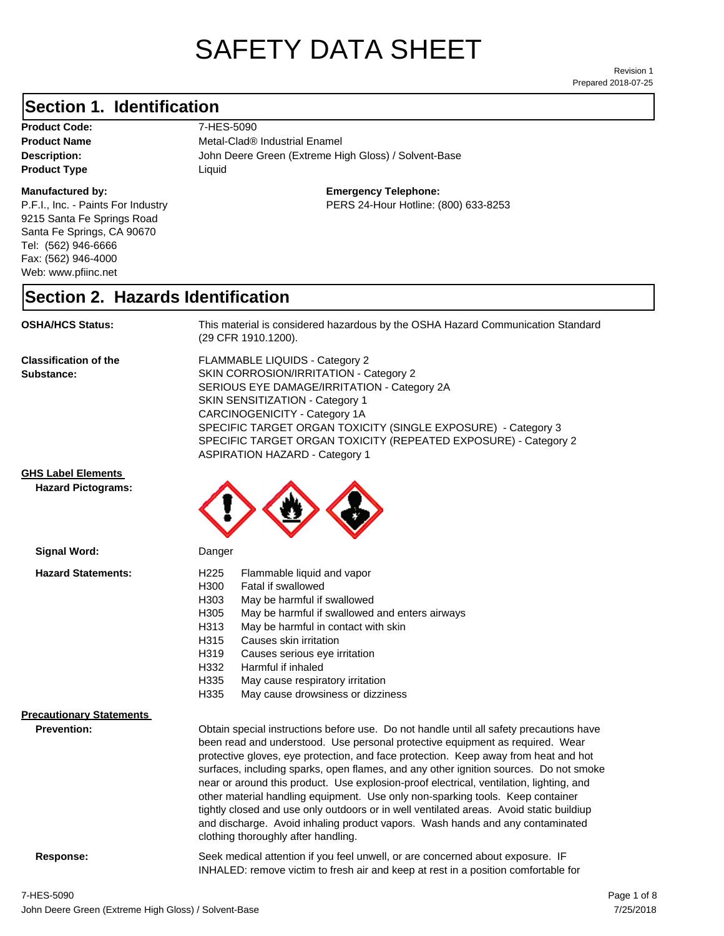# SAFETY DATA SHEET

Prepared 2018-07-25 Revision 1

#### **Section 1. Identification**

Product Code: 7-HES-5090 **Product Type Liquid Liquid** 

#### **Manufactured by:**

P.F.I., Inc. - Paints For Industry 9215 Santa Fe Springs Road Santa Fe Springs, CA 90670 Tel: (562) 946-6666 Fax: (562) 946-4000 Web: www.pfiinc.net

**Description:** John Deere Green (Extreme High Gloss) / Solvent-Base **Product Name** Metal-Clad<sup>®</sup> Industrial Enamel

**Emergency Telephone:**

PERS 24-Hour Hotline: (800) 633-8253

#### **Section 2. Hazards Identification**

**OSHA/HCS Status:** This material is considered hazardous by the OSHA Hazard Communication Standard (29 CFR 1910.1200).

**Classification of the Substance:**

FLAMMABLE LIQUIDS - Category 2 SKIN CORROSION/IRRITATION - Category 2 SERIOUS EYE DAMAGE/IRRITATION - Category 2A SKIN SENSITIZATION - Category 1 CARCINOGENICITY - Category 1A SPECIFIC TARGET ORGAN TOXICITY (SINGLE EXPOSURE) - Category 3 SPECIFIC TARGET ORGAN TOXICITY (REPEATED EXPOSURE) - Category 2 ASPIRATION HAZARD - Category 1

#### **GHS Label Elements**

**Signal Word:**

**Hazard Pictograms:**



| <b>Hazard Statements:</b>                             | Flammable liquid and vapor<br>H <sub>225</sub><br>H300<br>Fatal if swallowed<br>H303<br>May be harmful if swallowed<br>H305<br>May be harmful if swallowed and enters airways<br>H313<br>May be harmful in contact with skin<br>H315<br>Causes skin irritation<br>H319<br>Causes serious eye irritation<br>H332<br>Harmful if inhaled<br>H335<br>May cause respiratory irritation<br>H335<br>May cause drowsiness or dizziness                                                                                                                                                                                                                                                                                                                           |
|-------------------------------------------------------|----------------------------------------------------------------------------------------------------------------------------------------------------------------------------------------------------------------------------------------------------------------------------------------------------------------------------------------------------------------------------------------------------------------------------------------------------------------------------------------------------------------------------------------------------------------------------------------------------------------------------------------------------------------------------------------------------------------------------------------------------------|
| <b>Precautionary Statements</b><br><b>Prevention:</b> | Obtain special instructions before use. Do not handle until all safety precautions have<br>been read and understood. Use personal protective equipment as required. Wear<br>protective gloves, eye protection, and face protection. Keep away from heat and hot<br>surfaces, including sparks, open flames, and any other ignition sources. Do not smoke<br>near or around this product. Use explosion-proof electrical, ventilation, lighting, and<br>other material handling equipment. Use only non-sparking tools. Keep container<br>tightly closed and use only outdoors or in well ventilated areas. Avoid static buildiup<br>and discharge. Avoid inhaling product vapors. Wash hands and any contaminated<br>clothing thoroughly after handling. |
|                                                       | .                                                                                                                                                                                                                                                                                                                                                                                                                                                                                                                                                                                                                                                                                                                                                        |

**Response:** Seek medical attention if you feel unwell, or are concerned about exposure. IF INHALED: remove victim to fresh air and keep at rest in a position comfortable for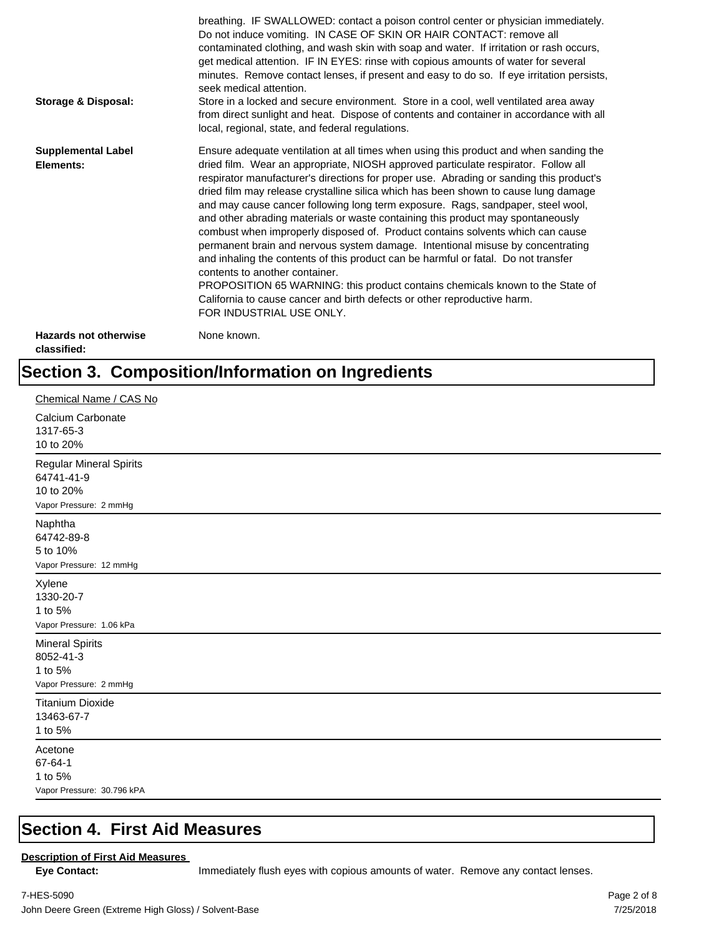| <b>Storage &amp; Disposal:</b>              | breathing. IF SWALLOWED: contact a poison control center or physician immediately.<br>Do not induce vomiting. IN CASE OF SKIN OR HAIR CONTACT: remove all<br>contaminated clothing, and wash skin with soap and water. If irritation or rash occurs,<br>get medical attention. IF IN EYES: rinse with copious amounts of water for several<br>minutes. Remove contact lenses, if present and easy to do so. If eye irritation persists,<br>seek medical attention.<br>Store in a locked and secure environment. Store in a cool, well ventilated area away<br>from direct sunlight and heat. Dispose of contents and container in accordance with all<br>local, regional, state, and federal regulations.                                                                                                                                                                                                                                                                                                                |
|---------------------------------------------|--------------------------------------------------------------------------------------------------------------------------------------------------------------------------------------------------------------------------------------------------------------------------------------------------------------------------------------------------------------------------------------------------------------------------------------------------------------------------------------------------------------------------------------------------------------------------------------------------------------------------------------------------------------------------------------------------------------------------------------------------------------------------------------------------------------------------------------------------------------------------------------------------------------------------------------------------------------------------------------------------------------------------|
| <b>Supplemental Label</b><br>Elements:      | Ensure adequate ventilation at all times when using this product and when sanding the<br>dried film. Wear an appropriate, NIOSH approved particulate respirator. Follow all<br>respirator manufacturer's directions for proper use. Abrading or sanding this product's<br>dried film may release crystalline silica which has been shown to cause lung damage<br>and may cause cancer following long term exposure. Rags, sandpaper, steel wool,<br>and other abrading materials or waste containing this product may spontaneously<br>combust when improperly disposed of. Product contains solvents which can cause<br>permanent brain and nervous system damage. Intentional misuse by concentrating<br>and inhaling the contents of this product can be harmful or fatal. Do not transfer<br>contents to another container.<br>PROPOSITION 65 WARNING: this product contains chemicals known to the State of<br>California to cause cancer and birth defects or other reproductive harm.<br>FOR INDUSTRIAL USE ONLY. |
| <b>Hazards not otherwise</b><br>classified: | None known.                                                                                                                                                                                                                                                                                                                                                                                                                                                                                                                                                                                                                                                                                                                                                                                                                                                                                                                                                                                                              |

## **Section 3. Composition/Information on Ingredients**

| Chemical Name / CAS No                                                              |
|-------------------------------------------------------------------------------------|
| Calcium Carbonate<br>1317-65-3<br>10 to 20%                                         |
| <b>Regular Mineral Spirits</b><br>64741-41-9<br>10 to 20%<br>Vapor Pressure: 2 mmHg |
| Naphtha<br>64742-89-8<br>5 to 10%<br>Vapor Pressure: 12 mmHg                        |
| Xylene<br>1330-20-7<br>1 to 5%<br>Vapor Pressure: 1.06 kPa                          |
| <b>Mineral Spirits</b><br>8052-41-3<br>1 to 5%<br>Vapor Pressure: 2 mmHg            |
| <b>Titanium Dioxide</b><br>13463-67-7<br>1 to 5%                                    |
| Acetone<br>67-64-1<br>1 to 5%<br>Vapor Pressure: 30.796 kPA                         |

#### **Section 4. First Aid Measures**

#### **Description of First Aid Measures**

Eye Contact: **IMMED** Immediately flush eyes with copious amounts of water. Remove any contact lenses.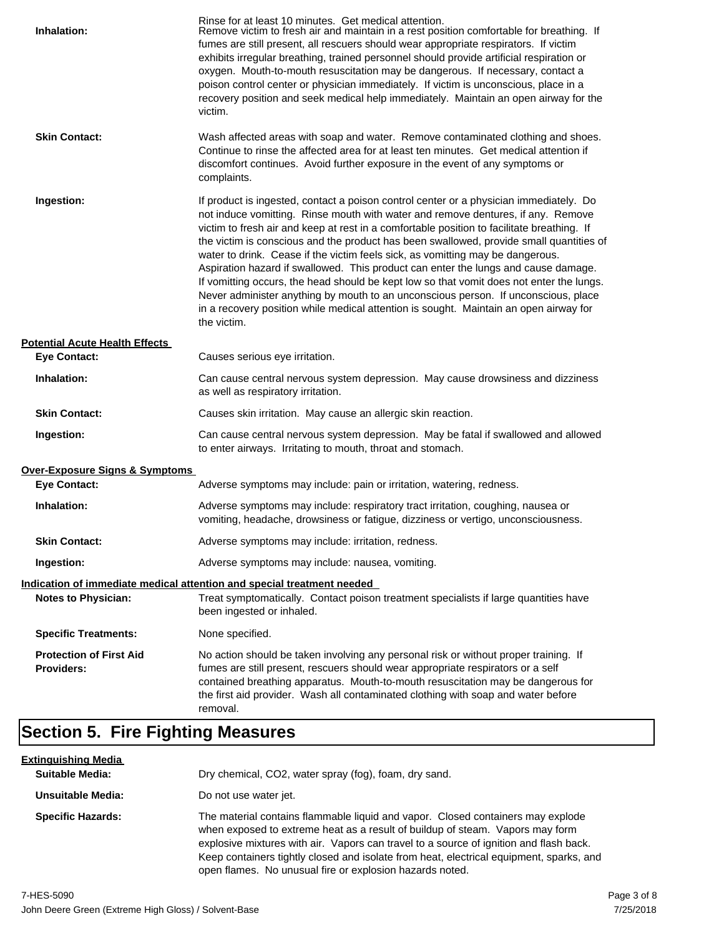| Inhalation:                                         | Rinse for at least 10 minutes. Get medical attention.<br>Remove victim to fresh air and maintain in a rest position comfortable for breathing. If<br>fumes are still present, all rescuers should wear appropriate respirators. If victim<br>exhibits irregular breathing, trained personnel should provide artificial respiration or<br>oxygen. Mouth-to-mouth resuscitation may be dangerous. If necessary, contact a<br>poison control center or physician immediately. If victim is unconscious, place in a<br>recovery position and seek medical help immediately. Maintain an open airway for the<br>victim.                                                                                                                                                                                                                    |
|-----------------------------------------------------|---------------------------------------------------------------------------------------------------------------------------------------------------------------------------------------------------------------------------------------------------------------------------------------------------------------------------------------------------------------------------------------------------------------------------------------------------------------------------------------------------------------------------------------------------------------------------------------------------------------------------------------------------------------------------------------------------------------------------------------------------------------------------------------------------------------------------------------|
| <b>Skin Contact:</b>                                | Wash affected areas with soap and water. Remove contaminated clothing and shoes.<br>Continue to rinse the affected area for at least ten minutes. Get medical attention if<br>discomfort continues. Avoid further exposure in the event of any symptoms or<br>complaints.                                                                                                                                                                                                                                                                                                                                                                                                                                                                                                                                                             |
| Ingestion:                                          | If product is ingested, contact a poison control center or a physician immediately. Do<br>not induce vomitting. Rinse mouth with water and remove dentures, if any. Remove<br>victim to fresh air and keep at rest in a comfortable position to facilitate breathing. If<br>the victim is conscious and the product has been swallowed, provide small quantities of<br>water to drink. Cease if the victim feels sick, as vomitting may be dangerous.<br>Aspiration hazard if swallowed. This product can enter the lungs and cause damage.<br>If vomitting occurs, the head should be kept low so that vomit does not enter the lungs.<br>Never administer anything by mouth to an unconscious person. If unconscious, place<br>in a recovery position while medical attention is sought. Maintain an open airway for<br>the victim. |
| <b>Potential Acute Health Effects</b>               |                                                                                                                                                                                                                                                                                                                                                                                                                                                                                                                                                                                                                                                                                                                                                                                                                                       |
| <b>Eye Contact:</b>                                 | Causes serious eye irritation.                                                                                                                                                                                                                                                                                                                                                                                                                                                                                                                                                                                                                                                                                                                                                                                                        |
| Inhalation:                                         | Can cause central nervous system depression. May cause drowsiness and dizziness<br>as well as respiratory irritation.                                                                                                                                                                                                                                                                                                                                                                                                                                                                                                                                                                                                                                                                                                                 |
| <b>Skin Contact:</b>                                | Causes skin irritation. May cause an allergic skin reaction.                                                                                                                                                                                                                                                                                                                                                                                                                                                                                                                                                                                                                                                                                                                                                                          |
| Ingestion:                                          | Can cause central nervous system depression. May be fatal if swallowed and allowed<br>to enter airways. Irritating to mouth, throat and stomach.                                                                                                                                                                                                                                                                                                                                                                                                                                                                                                                                                                                                                                                                                      |
| Over-Exposure Signs & Symptoms                      |                                                                                                                                                                                                                                                                                                                                                                                                                                                                                                                                                                                                                                                                                                                                                                                                                                       |
| <b>Eye Contact:</b>                                 | Adverse symptoms may include: pain or irritation, watering, redness.                                                                                                                                                                                                                                                                                                                                                                                                                                                                                                                                                                                                                                                                                                                                                                  |
| Inhalation:                                         | Adverse symptoms may include: respiratory tract irritation, coughing, nausea or<br>vomiting, headache, drowsiness or fatigue, dizziness or vertigo, unconsciousness.                                                                                                                                                                                                                                                                                                                                                                                                                                                                                                                                                                                                                                                                  |
| <b>Skin Contact:</b>                                | Adverse symptoms may include: irritation, redness.                                                                                                                                                                                                                                                                                                                                                                                                                                                                                                                                                                                                                                                                                                                                                                                    |
| Ingestion:                                          | Adverse symptoms may include: nausea, vomiting.                                                                                                                                                                                                                                                                                                                                                                                                                                                                                                                                                                                                                                                                                                                                                                                       |
|                                                     | Indication of immediate medical attention and special treatment needed                                                                                                                                                                                                                                                                                                                                                                                                                                                                                                                                                                                                                                                                                                                                                                |
| <b>Notes to Physician:</b>                          | Treat symptomatically. Contact poison treatment specialists if large quantities have<br>been ingested or inhaled.                                                                                                                                                                                                                                                                                                                                                                                                                                                                                                                                                                                                                                                                                                                     |
| <b>Specific Treatments:</b>                         | None specified.                                                                                                                                                                                                                                                                                                                                                                                                                                                                                                                                                                                                                                                                                                                                                                                                                       |
| <b>Protection of First Aid</b><br><b>Providers:</b> | No action should be taken involving any personal risk or without proper training. If<br>fumes are still present, rescuers should wear appropriate respirators or a self<br>contained breathing apparatus. Mouth-to-mouth resuscitation may be dangerous for<br>the first aid provider. Wash all contaminated clothing with soap and water before<br>removal.                                                                                                                                                                                                                                                                                                                                                                                                                                                                          |

## **Section 5. Fire Fighting Measures**

| <u>Extinguishing Media</u><br><b>Suitable Media:</b> | Dry chemical, CO2, water spray (fog), foam, dry sand.                                                                                                                                                                                                                                                                                                                                                             |
|------------------------------------------------------|-------------------------------------------------------------------------------------------------------------------------------------------------------------------------------------------------------------------------------------------------------------------------------------------------------------------------------------------------------------------------------------------------------------------|
| Unsuitable Media:                                    | Do not use water jet.                                                                                                                                                                                                                                                                                                                                                                                             |
| <b>Specific Hazards:</b>                             | The material contains flammable liquid and vapor. Closed containers may explode<br>when exposed to extreme heat as a result of buildup of steam. Vapors may form<br>explosive mixtures with air. Vapors can travel to a source of ignition and flash back.<br>Keep containers tightly closed and isolate from heat, electrical equipment, sparks, and<br>open flames. No unusual fire or explosion hazards noted. |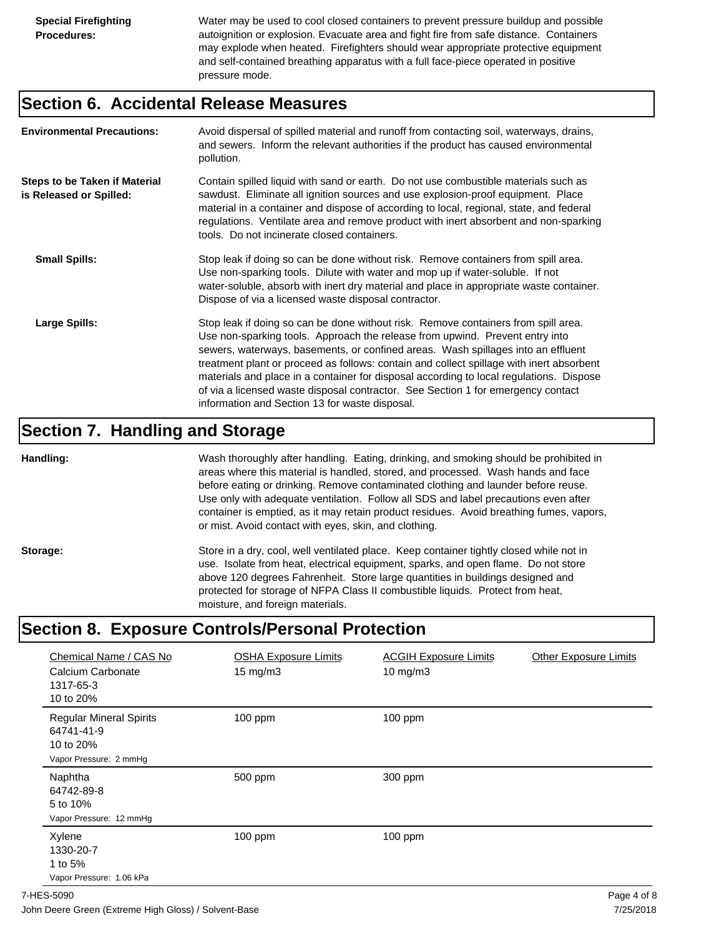Water may be used to cool closed containers to prevent pressure buildup and possible autoignition or explosion. Evacuate area and fight fire from safe distance. Containers may explode when heated. Firefighters should wear appropriate protective equipment and self-contained breathing apparatus with a full face-piece operated in positive pressure mode.

#### **Section 6. Accidental Release Measures**

| <b>Environmental Precautions:</b>                               | Avoid dispersal of spilled material and runoff from contacting soil, waterways, drains,<br>and sewers. Inform the relevant authorities if the product has caused environmental<br>pollution.                                                                                                                                                                                                                                                                                                                                                                                        |
|-----------------------------------------------------------------|-------------------------------------------------------------------------------------------------------------------------------------------------------------------------------------------------------------------------------------------------------------------------------------------------------------------------------------------------------------------------------------------------------------------------------------------------------------------------------------------------------------------------------------------------------------------------------------|
| <b>Steps to be Taken if Material</b><br>is Released or Spilled: | Contain spilled liquid with sand or earth. Do not use combustible materials such as<br>sawdust. Eliminate all ignition sources and use explosion-proof equipment. Place<br>material in a container and dispose of according to local, regional, state, and federal<br>regulations. Ventilate area and remove product with inert absorbent and non-sparking<br>tools. Do not incinerate closed containers.                                                                                                                                                                           |
| <b>Small Spills:</b>                                            | Stop leak if doing so can be done without risk. Remove containers from spill area.<br>Use non-sparking tools. Dilute with water and mop up if water-soluble. If not<br>water-soluble, absorb with inert dry material and place in appropriate waste container.<br>Dispose of via a licensed waste disposal contractor.                                                                                                                                                                                                                                                              |
| Large Spills:                                                   | Stop leak if doing so can be done without risk. Remove containers from spill area.<br>Use non-sparking tools. Approach the release from upwind. Prevent entry into<br>sewers, waterways, basements, or confined areas. Wash spillages into an effluent<br>treatment plant or proceed as follows: contain and collect spillage with inert absorbent<br>materials and place in a container for disposal according to local regulations. Dispose<br>of via a licensed waste disposal contractor. See Section 1 for emergency contact<br>information and Section 13 for waste disposal. |

#### **Section 7. Handling and Storage**

**Handling:** Wash thoroughly after handling. Eating, drinking, and smoking should be prohibited in areas where this material is handled, stored, and processed. Wash hands and face before eating or drinking. Remove contaminated clothing and launder before reuse. Use only with adequate ventilation. Follow all SDS and label precautions even after container is emptied, as it may retain product residues. Avoid breathing fumes, vapors, or mist. Avoid contact with eyes, skin, and clothing.

Storage: Store in a dry, cool, well ventilated place. Keep container tightly closed while not in use. Isolate from heat, electrical equipment, sparks, and open flame. Do not store above 120 degrees Fahrenheit. Store large quantities in buildings designed and protected for storage of NFPA Class II combustible liquids. Protect from heat, moisture, and foreign materials.

## **Section 8. Exposure Controls/Personal Protection**

| Chemical Name / CAS No<br>Calcium Carbonate<br>1317-65-3<br>10 to 20%               | <b>OSHA Exposure Limits</b><br>$15 \text{ mg/m}$ | <b>ACGIH Exposure Limits</b><br>$10 \text{ mg/m}$ 3 | <b>Other Exposure Limits</b> |
|-------------------------------------------------------------------------------------|--------------------------------------------------|-----------------------------------------------------|------------------------------|
| <b>Regular Mineral Spirits</b><br>64741-41-9<br>10 to 20%<br>Vapor Pressure: 2 mmHg | $100$ ppm                                        | 100 ppm                                             |                              |
| Naphtha<br>64742-89-8<br>5 to 10%<br>Vapor Pressure: 12 mmHg                        | 500 ppm                                          | 300 ppm                                             |                              |
| Xylene<br>1330-20-7<br>1 to 5%<br>Vapor Pressure: 1.06 kPa                          | $100$ ppm                                        | 100 ppm                                             |                              |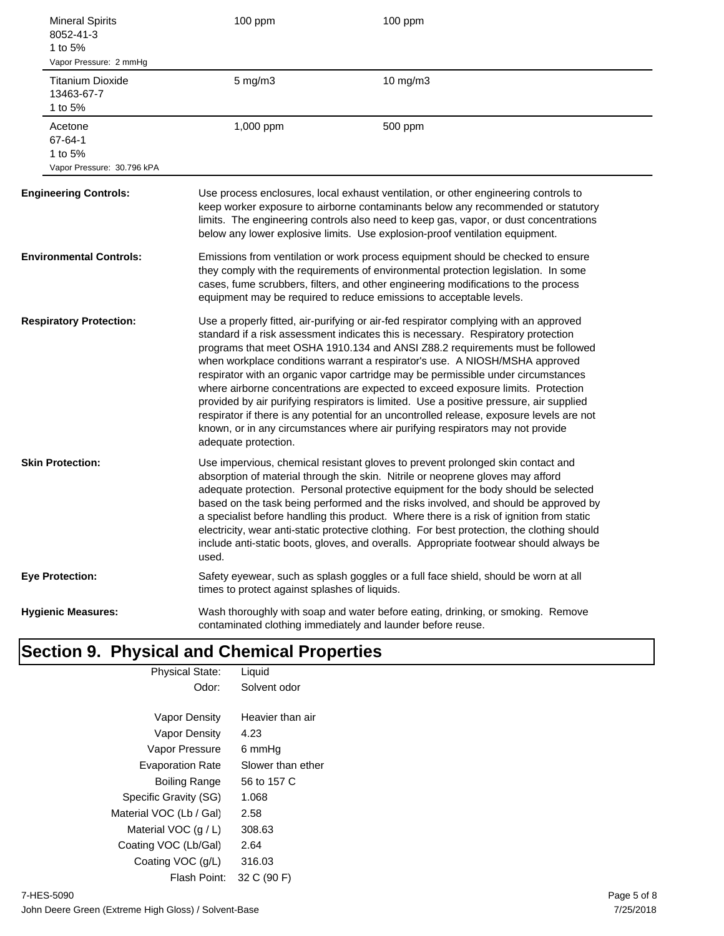| <b>Mineral Spirits</b><br>8052-41-3<br>1 to 5%<br>Vapor Pressure: 2 mmHg | 100 ppm                                       | 100 ppm                                                                                                                                                                                                                                                                                                                                                                                                                                                                                                                                                                                                                                                                                                                                                                                       |
|--------------------------------------------------------------------------|-----------------------------------------------|-----------------------------------------------------------------------------------------------------------------------------------------------------------------------------------------------------------------------------------------------------------------------------------------------------------------------------------------------------------------------------------------------------------------------------------------------------------------------------------------------------------------------------------------------------------------------------------------------------------------------------------------------------------------------------------------------------------------------------------------------------------------------------------------------|
| <b>Titanium Dioxide</b><br>13463-67-7<br>1 to 5%                         | $5$ mg/m $3$                                  | 10 mg/m3                                                                                                                                                                                                                                                                                                                                                                                                                                                                                                                                                                                                                                                                                                                                                                                      |
| Acetone<br>67-64-1<br>1 to 5%<br>Vapor Pressure: 30.796 kPA              | 1,000 ppm                                     | 500 ppm                                                                                                                                                                                                                                                                                                                                                                                                                                                                                                                                                                                                                                                                                                                                                                                       |
| <b>Engineering Controls:</b>                                             |                                               | Use process enclosures, local exhaust ventilation, or other engineering controls to<br>keep worker exposure to airborne contaminants below any recommended or statutory<br>limits. The engineering controls also need to keep gas, vapor, or dust concentrations<br>below any lower explosive limits. Use explosion-proof ventilation equipment.                                                                                                                                                                                                                                                                                                                                                                                                                                              |
| <b>Environmental Controls:</b>                                           |                                               | Emissions from ventilation or work process equipment should be checked to ensure<br>they comply with the requirements of environmental protection legislation. In some<br>cases, fume scrubbers, filters, and other engineering modifications to the process<br>equipment may be required to reduce emissions to acceptable levels.                                                                                                                                                                                                                                                                                                                                                                                                                                                           |
| <b>Respiratory Protection:</b>                                           | adequate protection.                          | Use a properly fitted, air-purifying or air-fed respirator complying with an approved<br>standard if a risk assessment indicates this is necessary. Respiratory protection<br>programs that meet OSHA 1910.134 and ANSI Z88.2 requirements must be followed<br>when workplace conditions warrant a respirator's use. A NIOSH/MSHA approved<br>respirator with an organic vapor cartridge may be permissible under circumstances<br>where airborne concentrations are expected to exceed exposure limits. Protection<br>provided by air purifying respirators is limited. Use a positive pressure, air supplied<br>respirator if there is any potential for an uncontrolled release, exposure levels are not<br>known, or in any circumstances where air purifying respirators may not provide |
| <b>Skin Protection:</b>                                                  | used.                                         | Use impervious, chemical resistant gloves to prevent prolonged skin contact and<br>absorption of material through the skin. Nitrile or neoprene gloves may afford<br>adequate protection. Personal protective equipment for the body should be selected<br>based on the task being performed and the risks involved, and should be approved by<br>a specialist before handling this product. Where there is a risk of ignition from static<br>electricity, wear anti-static protective clothing. For best protection, the clothing should<br>include anti-static boots, gloves, and overalls. Appropriate footwear should always be                                                                                                                                                           |
| <b>Eye Protection:</b>                                                   | times to protect against splashes of liquids. | Safety eyewear, such as splash goggles or a full face shield, should be worn at all                                                                                                                                                                                                                                                                                                                                                                                                                                                                                                                                                                                                                                                                                                           |
| <b>Hygienic Measures:</b>                                                |                                               | Wash thoroughly with soap and water before eating, drinking, or smoking. Remove<br>contaminated clothing immediately and launder before reuse.                                                                                                                                                                                                                                                                                                                                                                                                                                                                                                                                                                                                                                                |

#### **Section 9. Physical and Chemical Properties** Physical State: Liquid

| Odor:                   | Solvent odor      |
|-------------------------|-------------------|
| Vapor Density           | Heavier than air  |
| Vapor Density           | 4.23              |
| Vapor Pressure          | 6 mmHq            |
| <b>Evaporation Rate</b> | Slower than ether |
| Boiling Range           | 56 to 157 C       |
| Specific Gravity (SG)   | 1.068             |
| Material VOC (Lb / Gal) | 2.58              |
| Material VOC $(q/L)$    | 308.63            |
| Coating VOC (Lb/Gal)    | 2.64              |
| Coating VOC (g/L)       | 316.03            |
| Flash Point:            | 32 C (90 F)       |
|                         |                   |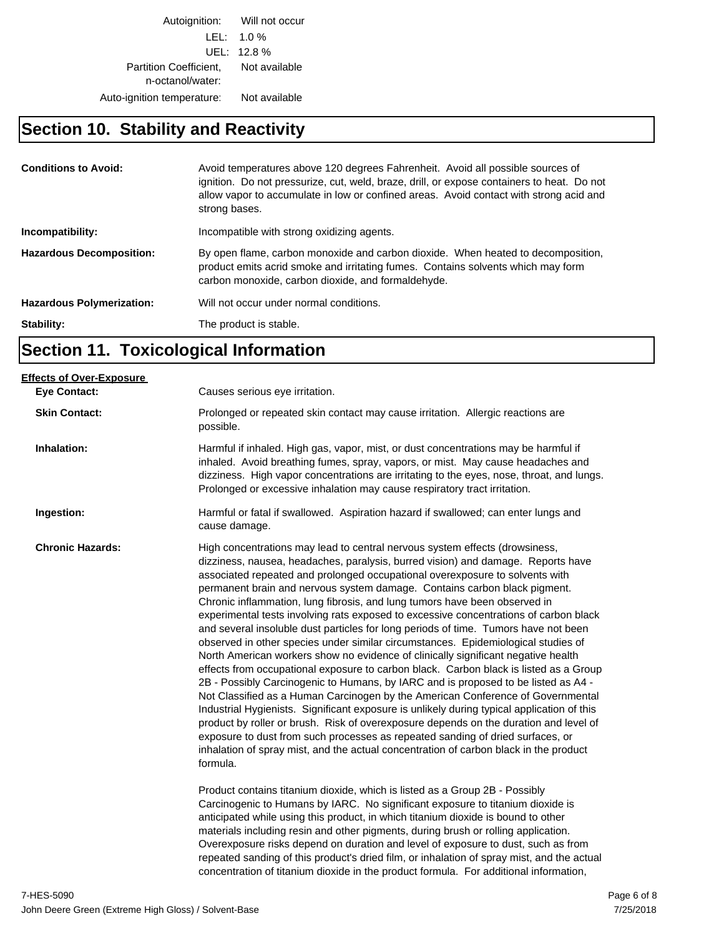Autoignition: Will not occur LEL: 1.0 % UEL: 12.8 % Partition Coefficient, Not available n-octanol/water: Auto-ignition temperature: Not available

## **Section 10. Stability and Reactivity**

| <b>Conditions to Avoid:</b>      | Avoid temperatures above 120 degrees Fahrenheit. Avoid all possible sources of<br>ignition. Do not pressurize, cut, weld, braze, drill, or expose containers to heat. Do not<br>allow vapor to accumulate in low or confined areas. Avoid contact with strong acid and<br>strong bases. |
|----------------------------------|-----------------------------------------------------------------------------------------------------------------------------------------------------------------------------------------------------------------------------------------------------------------------------------------|
| Incompatibility:                 | Incompatible with strong oxidizing agents.                                                                                                                                                                                                                                              |
| <b>Hazardous Decomposition:</b>  | By open flame, carbon monoxide and carbon dioxide. When heated to decomposition,<br>product emits acrid smoke and irritating fumes. Contains solvents which may form<br>carbon monoxide, carbon dioxide, and formaldehyde.                                                              |
| <b>Hazardous Polymerization:</b> | Will not occur under normal conditions.                                                                                                                                                                                                                                                 |
| Stability:                       | The product is stable.                                                                                                                                                                                                                                                                  |

## **Section 11. Toxicological Information**

| <b>Effects of Over-Exposure</b> |                                                                                                                                                                                                                                                                                                                                                                                                                                                                                                                                                                                                                                                                                                                                                                                                                                                                                                                                                                                                                                                                                                                                                                                                                                                                                                                                                                                                                      |
|---------------------------------|----------------------------------------------------------------------------------------------------------------------------------------------------------------------------------------------------------------------------------------------------------------------------------------------------------------------------------------------------------------------------------------------------------------------------------------------------------------------------------------------------------------------------------------------------------------------------------------------------------------------------------------------------------------------------------------------------------------------------------------------------------------------------------------------------------------------------------------------------------------------------------------------------------------------------------------------------------------------------------------------------------------------------------------------------------------------------------------------------------------------------------------------------------------------------------------------------------------------------------------------------------------------------------------------------------------------------------------------------------------------------------------------------------------------|
| <b>Eye Contact:</b>             | Causes serious eye irritation.                                                                                                                                                                                                                                                                                                                                                                                                                                                                                                                                                                                                                                                                                                                                                                                                                                                                                                                                                                                                                                                                                                                                                                                                                                                                                                                                                                                       |
| <b>Skin Contact:</b>            | Prolonged or repeated skin contact may cause irritation. Allergic reactions are<br>possible.                                                                                                                                                                                                                                                                                                                                                                                                                                                                                                                                                                                                                                                                                                                                                                                                                                                                                                                                                                                                                                                                                                                                                                                                                                                                                                                         |
| Inhalation:                     | Harmful if inhaled. High gas, vapor, mist, or dust concentrations may be harmful if<br>inhaled. Avoid breathing fumes, spray, vapors, or mist. May cause headaches and<br>dizziness. High vapor concentrations are irritating to the eyes, nose, throat, and lungs.<br>Prolonged or excessive inhalation may cause respiratory tract irritation.                                                                                                                                                                                                                                                                                                                                                                                                                                                                                                                                                                                                                                                                                                                                                                                                                                                                                                                                                                                                                                                                     |
| Ingestion:                      | Harmful or fatal if swallowed. Aspiration hazard if swallowed; can enter lungs and<br>cause damage.                                                                                                                                                                                                                                                                                                                                                                                                                                                                                                                                                                                                                                                                                                                                                                                                                                                                                                                                                                                                                                                                                                                                                                                                                                                                                                                  |
| <b>Chronic Hazards:</b>         | High concentrations may lead to central nervous system effects (drowsiness,<br>dizziness, nausea, headaches, paralysis, burred vision) and damage. Reports have<br>associated repeated and prolonged occupational overexposure to solvents with<br>permanent brain and nervous system damage. Contains carbon black pigment.<br>Chronic inflammation, lung fibrosis, and lung tumors have been observed in<br>experimental tests involving rats exposed to excessive concentrations of carbon black<br>and several insoluble dust particles for long periods of time. Tumors have not been<br>observed in other species under similar circumstances. Epidemiological studies of<br>North American workers show no evidence of clinically significant negative health<br>effects from occupational exposure to carbon black. Carbon black is listed as a Group<br>2B - Possibly Carcinogenic to Humans, by IARC and is proposed to be listed as A4 -<br>Not Classified as a Human Carcinogen by the American Conference of Governmental<br>Industrial Hygienists. Significant exposure is unlikely during typical application of this<br>product by roller or brush. Risk of overexposure depends on the duration and level of<br>exposure to dust from such processes as repeated sanding of dried surfaces, or<br>inhalation of spray mist, and the actual concentration of carbon black in the product<br>formula. |
|                                 | Product contains titanium dioxide, which is listed as a Group 2B - Possibly<br>Carcinogenic to Humans by IARC. No significant exposure to titanium dioxide is<br>anticipated while using this product, in which titanium dioxide is bound to other<br>materials including resin and other pigments, during brush or rolling application.<br>Overexposure risks depend on duration and level of exposure to dust, such as from<br>repeated sanding of this product's dried film, or inhalation of spray mist, and the actual<br>concentration of titanium dioxide in the product formula. For additional information,                                                                                                                                                                                                                                                                                                                                                                                                                                                                                                                                                                                                                                                                                                                                                                                                 |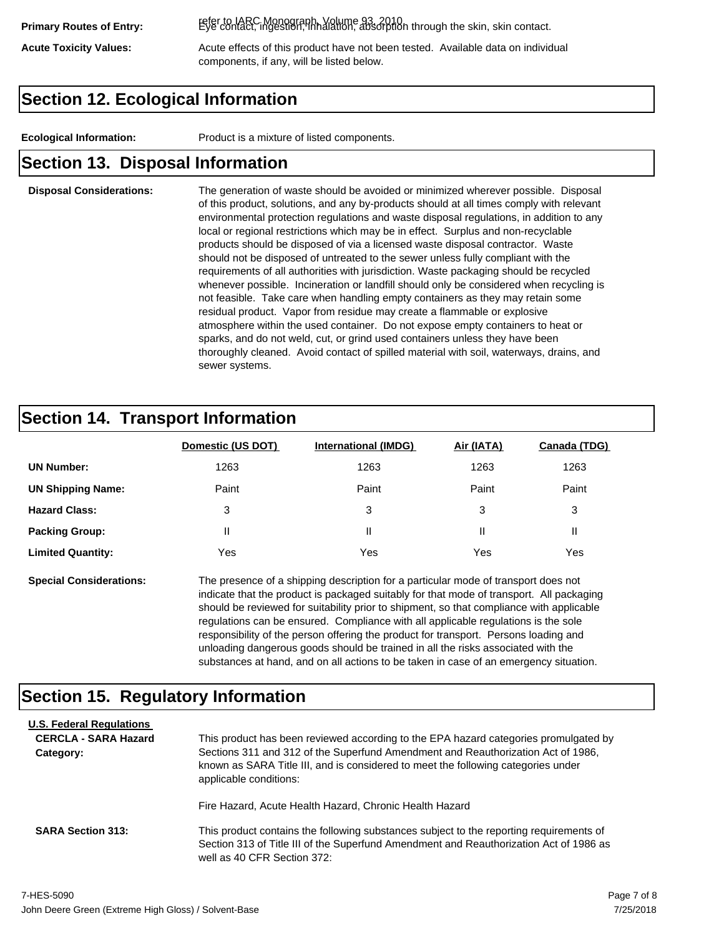refer to IARC Monograph, Volume 93, 2010. **Primary Routes of Entry:** Eye contact, ingestion, inhalation, absorption through the skin, skin contact.

Acute Toxicity Values: **Acute effects of this product have not been tested.** Available data on individual components, if any, will be listed below.

### **Section 12. Ecological Information**

**Ecological Information:** Product is a mixture of listed components.

#### **Section 13. Disposal Information**

#### **Disposal Considerations:** The generation of waste should be avoided or minimized wherever possible. Disposal of this product, solutions, and any by-products should at all times comply with relevant environmental protection regulations and waste disposal regulations, in addition to any local or regional restrictions which may be in effect. Surplus and non-recyclable products should be disposed of via a licensed waste disposal contractor. Waste should not be disposed of untreated to the sewer unless fully compliant with the requirements of all authorities with jurisdiction. Waste packaging should be recycled whenever possible. Incineration or landfill should only be considered when recycling is not feasible. Take care when handling empty containers as they may retain some residual product. Vapor from residue may create a flammable or explosive atmosphere within the used container. Do not expose empty containers to heat or sparks, and do not weld, cut, or grind used containers unless they have been thoroughly cleaned. Avoid contact of spilled material with soil, waterways, drains, and sewer systems.

#### **Section 14. Transport Information**

|                          | Domestic (US DOT) | <b>International (IMDG)</b> | Air (IATA) | <b>Canada (TDG)</b> |
|--------------------------|-------------------|-----------------------------|------------|---------------------|
| <b>UN Number:</b>        | 1263              | 1263                        | 1263       | 1263                |
| <b>UN Shipping Name:</b> | Paint             | Paint                       | Paint      | Paint               |
| <b>Hazard Class:</b>     | 3                 | 3                           | 3          | 3                   |
| <b>Packing Group:</b>    | Ш                 | Ш                           |            |                     |
| <b>Limited Quantity:</b> | Yes               | Yes                         | Yes        | Yes                 |

**Special Considerations:** The presence of a shipping description for a particular mode of transport does not indicate that the product is packaged suitably for that mode of transport. All packaging should be reviewed for suitability prior to shipment, so that compliance with applicable regulations can be ensured. Compliance with all applicable regulations is the sole responsibility of the person offering the product for transport. Persons loading and unloading dangerous goods should be trained in all the risks associated with the substances at hand, and on all actions to be taken in case of an emergency situation.

#### **Section 15. Regulatory Information**

| <b>U.S. Federal Regulations</b><br><b>CERCLA - SARA Hazard</b><br>Category: | This product has been reviewed according to the EPA hazard categories promulgated by<br>Sections 311 and 312 of the Superfund Amendment and Reauthorization Act of 1986,<br>known as SARA Title III, and is considered to meet the following categories under<br>applicable conditions: |
|-----------------------------------------------------------------------------|-----------------------------------------------------------------------------------------------------------------------------------------------------------------------------------------------------------------------------------------------------------------------------------------|
| <b>SARA Section 313:</b>                                                    | Fire Hazard, Acute Health Hazard, Chronic Health Hazard<br>This product contains the following substances subject to the reporting requirements of<br>Section 313 of Title III of the Superfund Amendment and Reauthorization Act of 1986 as<br>well as 40 CFR Section 372:             |